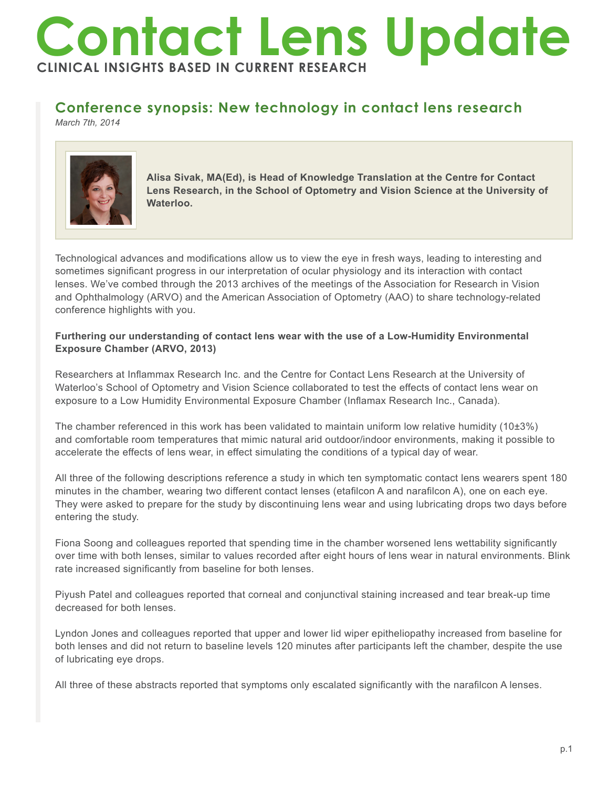# **Contact Lens Update CLINICAL INSIGHTS BASED IN CURRENT RESEARCH**

# **Conference synopsis: New technology in contact lens research**

*March 7th, 2014*



**Alisa Sivak, MA(Ed), is Head of Knowledge Translation at the Centre for Contact Lens Research, in the School of Optometry and Vision Science at the University of Waterloo.**

Technological advances and modifications allow us to view the eye in fresh ways, leading to interesting and sometimes significant progress in our interpretation of ocular physiology and its interaction with contact lenses. We've combed through the 2013 archives of the meetings of the Association for Research in Vision and Ophthalmology (ARVO) and the American Association of Optometry (AAO) to share technology-related conference highlights with you.

## **Furthering our understanding of contact lens wear with the use of a Low-Humidity Environmental Exposure Chamber (ARVO, 2013)**

Researchers at Inflammax Research Inc. and the Centre for Contact Lens Research at the University of Waterloo's School of Optometry and Vision Science collaborated to test the effects of contact lens wear on exposure to a Low Humidity Environmental Exposure Chamber (Inflamax Research Inc., Canada).

The chamber referenced in this work has been validated to maintain uniform low relative humidity (10±3%) and comfortable room temperatures that mimic natural arid outdoor/indoor environments, making it possible to accelerate the effects of lens wear, in effect simulating the conditions of a typical day of wear.

All three of the following descriptions reference a study in which ten symptomatic contact lens wearers spent 180 minutes in the chamber, wearing two different contact lenses (etafilcon A and narafilcon A), one on each eye. They were asked to prepare for the study by discontinuing lens wear and using lubricating drops two days before entering the study.

Fiona Soong and colleagues reported that spending time in the chamber worsened lens wettability significantly over time with both lenses, similar to values recorded after eight hours of lens wear in natural environments. Blink rate increased significantly from baseline for both lenses.

Piyush Patel and colleagues reported that corneal and conjunctival staining increased and tear break-up time decreased for both lenses.

Lyndon Jones and colleagues reported that upper and lower lid wiper epitheliopathy increased from baseline for both lenses and did not return to baseline levels 120 minutes after participants left the chamber, despite the use of lubricating eye drops.

All three of these abstracts reported that symptoms only escalated significantly with the narafilcon A lenses.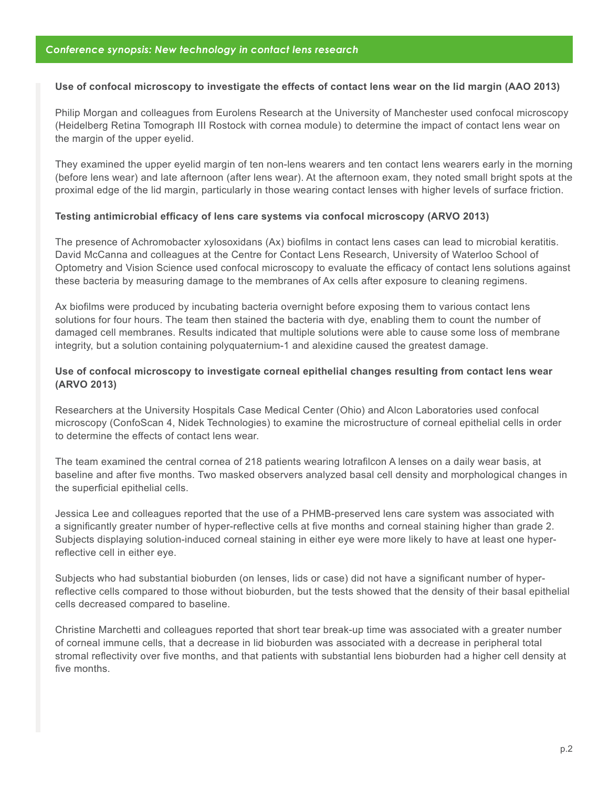#### **Use of confocal microscopy to investigate the effects of contact lens wear on the lid margin (AAO 2013)**

Philip Morgan and colleagues from Eurolens Research at the University of Manchester used confocal microscopy (Heidelberg Retina Tomograph III Rostock with cornea module) to determine the impact of contact lens wear on the margin of the upper eyelid.

They examined the upper eyelid margin of ten non-lens wearers and ten contact lens wearers early in the morning (before lens wear) and late afternoon (after lens wear). At the afternoon exam, they noted small bright spots at the proximal edge of the lid margin, particularly in those wearing contact lenses with higher levels of surface friction.

#### **Testing antimicrobial efficacy of lens care systems via confocal microscopy (ARVO 2013)**

The presence of Achromobacter xylosoxidans (Ax) biofilms in contact lens cases can lead to microbial keratitis. David McCanna and colleagues at the Centre for Contact Lens Research, University of Waterloo School of Optometry and Vision Science used confocal microscopy to evaluate the efficacy of contact lens solutions against these bacteria by measuring damage to the membranes of Ax cells after exposure to cleaning regimens.

Ax biofilms were produced by incubating bacteria overnight before exposing them to various contact lens solutions for four hours. The team then stained the bacteria with dye, enabling them to count the number of damaged cell membranes. Results indicated that multiple solutions were able to cause some loss of membrane integrity, but a solution containing polyquaternium-1 and alexidine caused the greatest damage.

### **Use of confocal microscopy to investigate corneal epithelial changes resulting from contact lens wear (ARVO 2013)**

Researchers at the University Hospitals Case Medical Center (Ohio) and Alcon Laboratories used confocal microscopy (ConfoScan 4, Nidek Technologies) to examine the microstructure of corneal epithelial cells in order to determine the effects of contact lens wear.

The team examined the central cornea of 218 patients wearing lotrafilcon A lenses on a daily wear basis, at baseline and after five months. Two masked observers analyzed basal cell density and morphological changes in the superficial epithelial cells.

Jessica Lee and colleagues reported that the use of a PHMB-preserved lens care system was associated with a significantly greater number of hyper-reflective cells at five months and corneal staining higher than grade 2. Subjects displaying solution-induced corneal staining in either eye were more likely to have at least one hyperreflective cell in either eye.

Subjects who had substantial bioburden (on lenses, lids or case) did not have a significant number of hyperreflective cells compared to those without bioburden, but the tests showed that the density of their basal epithelial cells decreased compared to baseline.

Christine Marchetti and colleagues reported that short tear break-up time was associated with a greater number of corneal immune cells, that a decrease in lid bioburden was associated with a decrease in peripheral total stromal reflectivity over five months, and that patients with substantial lens bioburden had a higher cell density at five months.